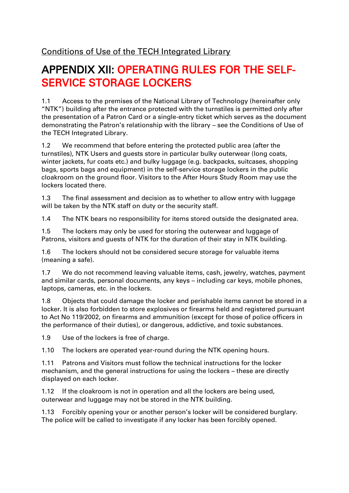## APPENDIX XII: OPERATING RULES FOR THE SELF-SERVICE STORAGE LOCKERS

1.1 Access to the premises of the National Library of Technology (hereinafter only "NTK") building after the entrance protected with the turnstiles is permitted only after the presentation of a Patron Card or a single-entry ticket which serves as the document demonstrating the Patron's relationship with the library – see the Conditions of Use of the TECH Integrated Library.

1.2 We recommend that before entering the protected public area (after the turnstiles), NTK Users and guests store in particular bulky outerwear (long coats, winter jackets, fur coats etc.) and bulky luggage (e.g. backpacks, suitcases, shopping bags, sports bags and equipment) in the self-service storage lockers in the public cloakroom on the ground floor. Visitors to the After Hours Study Room may use the lockers located there.

1.3 The final assessment and decision as to whether to allow entry with luggage will be taken by the NTK staff on duty or the security staff.

1.4 The NTK bears no responsibility for items stored outside the designated area.

1.5 The lockers may only be used for storing the outerwear and luggage of Patrons, visitors and guests of NTK for the duration of their stay in NTK building.

1.6 The lockers should not be considered secure storage for valuable items (meaning a safe).

1.7 We do not recommend leaving valuable items, cash, jewelry, watches, payment and similar cards, personal documents, any keys – including car keys, mobile phones, laptops, cameras, etc. in the lockers.

1.8 Objects that could damage the locker and perishable items cannot be stored in a locker. It is also forbidden to store explosives or firearms held and registered pursuant to Act No 119/2002, on firearms and ammunition (except for those of police officers in the performance of their duties), or dangerous, addictive, and toxic substances.

1.9 Use of the lockers is free of charge.

1.10 The lockers are operated year-round during the NTK opening hours.

1.11 Patrons and Visitors must follow the technical instructions for the locker mechanism, and the general instructions for using the lockers – these are directly displayed on each locker.

1.12 If the cloakroom is not in operation and all the lockers are being used, outerwear and luggage may not be stored in the NTK building.

1.13 Forcibly opening your or another person's locker will be considered burglary. The police will be called to investigate if any locker has been forcibly opened.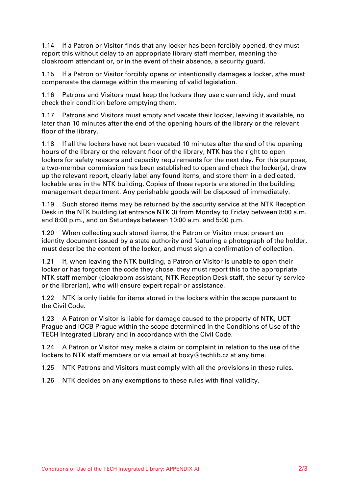1.14 If a Patron or Visitor finds that any locker has been forcibly opened, they must report this without delay to an appropriate library staff member, meaning the cloakroom attendant or, or in the event of their absence, a security guard.

1.15 If a Patron or Visitor forcibly opens or intentionally damages a locker, s/he must compensate the damage within the meaning of valid legislation.

1.16 Patrons and Visitors must keep the lockers they use clean and tidy, and must check their condition before emptying them.

1.17 Patrons and Visitors must empty and vacate their locker, leaving it available, no later than 10 minutes after the end of the opening hours of the library or the relevant floor of the library.

1.18 If all the lockers have not been vacated 10 minutes after the end of the opening hours of the library or the relevant floor of the library, NTK has the right to open lockers for safety reasons and capacity requirements for the next day. For this purpose, a two-member commission has been established to open and check the locker(s), draw up the relevant report, clearly label any found items, and store them in a dedicated, lockable area in the NTK building. Copies of these reports are stored in the building management department. Any perishable goods will be disposed of immediately.

1.19 Such stored items may be returned by the security service at the NTK Reception Desk in the NTK building (at entrance NTK 3) from Monday to Friday between 8:00 a.m. and 8:00 p.m., and on Saturdays between 10:00 a.m. and 5:00 p.m.

1.20 When collecting such stored items, the Patron or Visitor must present an identity document issued by a state authority and featuring a photograph of the holder, must describe the content of the locker, and must sign a confirmation of collection.

1.21 If, when leaving the NTK building, a Patron or Visitor is unable to open their locker or has forgotten the code they chose, they must report this to the appropriate NTK staff member (cloakroom assistant, NTK Reception Desk staff, the security service or the librarian), who will ensure expert repair or assistance.

1.22 NTK is only liable for items stored in the lockers within the scope pursuant to the Civil Code.

1.23 A Patron or Visitor is liable for damage caused to the property of NTK, UCT Prague and IOCB Prague within the scope determined in the Conditions of Use of the TECH Integrated Library and in accordance with the Civil Code.

1.24 A Patron or Visitor may make a claim or complaint in relation to the use of the lockers to NTK staff members or via email at **[boxy@techlib.cz](mailto:boxy@techlib.cz)** at any time.

1.25 NTK Patrons and Visitors must comply with all the provisions in these rules.

1.26 NTK decides on any exemptions to these rules with final validity.